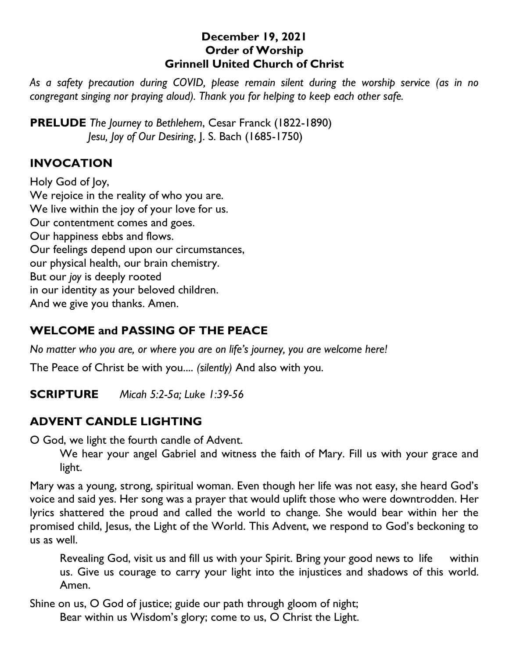## **December 19, 2021 Order of Worship Grinnell United Church of Christ**

*As a safety precaution during COVID, please remain silent during the worship service (as in no congregant singing nor praying aloud). Thank you for helping to keep each other safe.*

**PRELUDE** *The Journey to Bethlehem*, Cesar Franck (1822-1890) *Jesu, Joy of Our Desiring*, J. S. Bach (1685-1750)

## **INVOCATION**

Holy God of Joy, We rejoice in the reality of who you are. We live within the joy of your love for us. Our contentment comes and goes. Our happiness ebbs and flows. Our feelings depend upon our circumstances, our physical health, our brain chemistry. But our *joy* is deeply rooted in our identity as your beloved children. And we give you thanks. Amen.

# **WELCOME and PASSING OF THE PEACE**

*No matter who you are, or where you are on life's journey, you are welcome here!*

The Peace of Christ be with you.... *(silently)* And also with you.

**SCRIPTURE** *Micah 5:2-5a; Luke 1:39-56*

# **ADVENT CANDLE LIGHTING**

O God, we light the fourth candle of Advent.

We hear your angel Gabriel and witness the faith of Mary. Fill us with your grace and light.

Mary was a young, strong, spiritual woman. Even though her life was not easy, she heard God's voice and said yes. Her song was a prayer that would uplift those who were downtrodden. Her lyrics shattered the proud and called the world to change. She would bear within her the promised child, Jesus, the Light of the World. This Advent, we respond to God's beckoning to us as well.

Revealing God, visit us and fill us with your Spirit. Bring your good news to life within us. Give us courage to carry your light into the injustices and shadows of this world. Amen.

Shine on us, O God of justice; guide our path through gloom of night; Bear within us Wisdom's glory; come to us, O Christ the Light.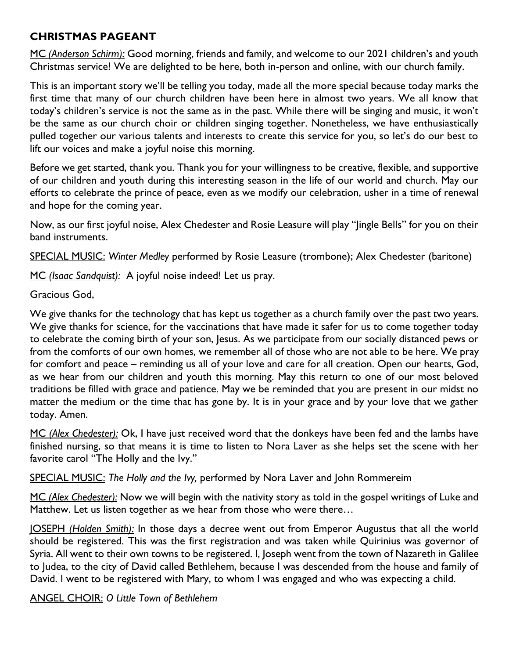## **CHRISTMAS PAGEANT**

MC *(Anderson Schirm):* Good morning, friends and family, and welcome to our 2021 children's and youth Christmas service! We are delighted to be here, both in-person and online, with our church family.

This is an important story we'll be telling you today, made all the more special because today marks the first time that many of our church children have been here in almost two years. We all know that today's children's service is not the same as in the past. While there will be singing and music, it won't be the same as our church choir or children singing together. Nonetheless, we have enthusiastically pulled together our various talents and interests to create this service for you, so let's do our best to lift our voices and make a joyful noise this morning.

Before we get started, thank you. Thank you for your willingness to be creative, flexible, and supportive of our children and youth during this interesting season in the life of our world and church. May our efforts to celebrate the prince of peace, even as we modify our celebration, usher in a time of renewal and hope for the coming year.

Now, as our first joyful noise, Alex Chedester and Rosie Leasure will play "Jingle Bells" for you on their band instruments.

SPECIAL MUSIC: *Winter Medley* performed by Rosie Leasure (trombone); Alex Chedester (baritone)

MC *(Isaac Sandquist):* A joyful noise indeed! Let us pray.

Gracious God,

We give thanks for the technology that has kept us together as a church family over the past two years. We give thanks for science, for the vaccinations that have made it safer for us to come together today to celebrate the coming birth of your son, Jesus. As we participate from our socially distanced pews or from the comforts of our own homes, we remember all of those who are not able to be here. We pray for comfort and peace – reminding us all of your love and care for all creation. Open our hearts, God, as we hear from our children and youth this morning. May this return to one of our most beloved traditions be filled with grace and patience. May we be reminded that you are present in our midst no matter the medium or the time that has gone by. It is in your grace and by your love that we gather today. Amen.

MC *(Alex Chedester):* Ok, I have just received word that the donkeys have been fed and the lambs have finished nursing, so that means it is time to listen to Nora Laver as she helps set the scene with her favorite carol "The Holly and the Ivy."

SPECIAL MUSIC: *The Holly and the Ivy,* performed by Nora Laver and John Rommereim

MC *(Alex Chedester):* Now we will begin with the nativity story as told in the gospel writings of Luke and Matthew. Let us listen together as we hear from those who were there…

JOSEPH *(Holden Smith):* In those days a decree went out from Emperor Augustus that all the world should be registered. This was the first registration and was taken while Quirinius was governor of Syria. All went to their own towns to be registered. I, Joseph went from the town of Nazareth in Galilee to Judea, to the city of David called Bethlehem, because I was descended from the house and family of David. I went to be registered with Mary, to whom I was engaged and who was expecting a child.

ANGEL CHOIR: *O Little Town of Bethlehem*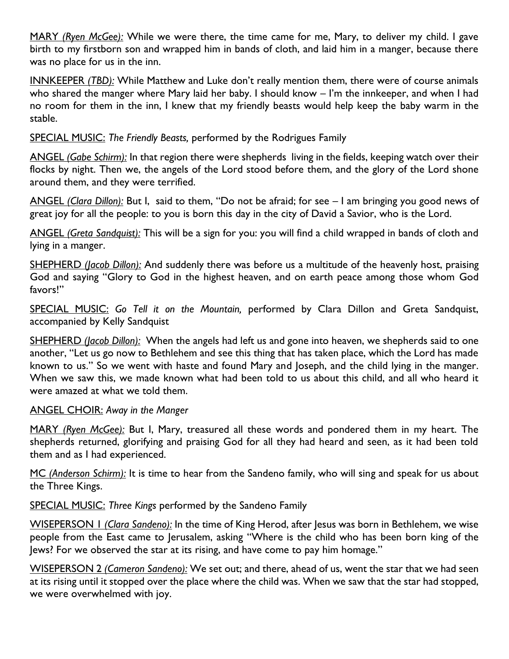MARY *(Ryen McGee):* While we were there, the time came for me, Mary, to deliver my child. I gave birth to my firstborn son and wrapped him in bands of cloth, and laid him in a manger, because there was no place for us in the inn.

INNKEEPER *(TBD):* While Matthew and Luke don't really mention them, there were of course animals who shared the manger where Mary laid her baby. I should know – I'm the innkeeper, and when I had no room for them in the inn, I knew that my friendly beasts would help keep the baby warm in the stable.

SPECIAL MUSIC: *The Friendly Beasts,* performed by the Rodrigues Family

ANGEL *(Gabe Schirm):* In that region there were shepherds living in the fields, keeping watch over their flocks by night. Then we, the angels of the Lord stood before them, and the glory of the Lord shone around them, and they were terrified.

ANGEL *(Clara Dillon):* But I, said to them, "Do not be afraid; for see – I am bringing you good news of great joy for all the people: to you is born this day in the city of David a Savior, who is the Lord.

ANGEL *(Greta Sandquist):* This will be a sign for you: you will find a child wrapped in bands of cloth and lying in a manger.

SHEPHERD *(Jacob Dillon):* And suddenly there was before us a multitude of the heavenly host, praising God and saying "Glory to God in the highest heaven, and on earth peace among those whom God favors!"

SPECIAL MUSIC: *Go Tell it on the Mountain,* performed by Clara Dillon and Greta Sandquist, accompanied by Kelly Sandquist

SHEPHERD *(Jacob Dillon):*When the angels had left us and gone into heaven, we shepherds said to one another, "Let us go now to Bethlehem and see this thing that has taken place, which the Lord has made known to us." So we went with haste and found Mary and Joseph, and the child lying in the manger. When we saw this, we made known what had been told to us about this child, and all who heard it were amazed at what we told them.

#### ANGEL CHOIR: *Away in the Manger*

MARY *(Ryen McGee):* But I, Mary, treasured all these words and pondered them in my heart. The shepherds returned, glorifying and praising God for all they had heard and seen, as it had been told them and as I had experienced.

MC *(Anderson Schirm):* It is time to hear from the Sandeno family, who will sing and speak for us about the Three Kings.

SPECIAL MUSIC: *Three Kings* performed by the Sandeno Family

WISEPERSON 1 *(Clara Sandeno):* In the time of King Herod, after Jesus was born in Bethlehem, we wise people from the East came to Jerusalem, asking "Where is the child who has been born king of the Jews? For we observed the star at its rising, and have come to pay him homage."

WISEPERSON 2 *(Cameron Sandeno):* We set out; and there, ahead of us, went the star that we had seen at its rising until it stopped over the place where the child was. When we saw that the star had stopped, we were overwhelmed with joy.